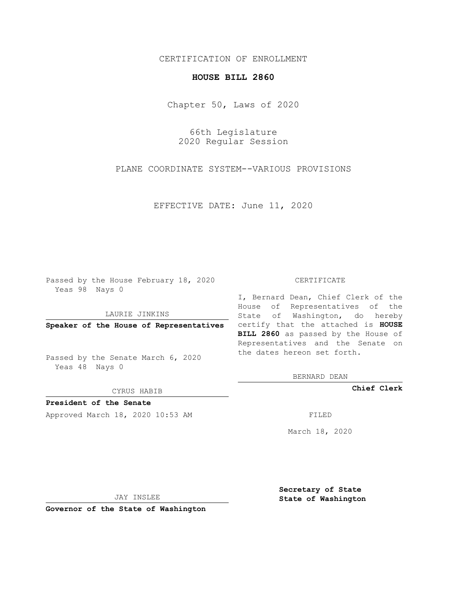## CERTIFICATION OF ENROLLMENT

## **HOUSE BILL 2860**

Chapter 50, Laws of 2020

66th Legislature 2020 Regular Session

PLANE COORDINATE SYSTEM--VARIOUS PROVISIONS

EFFECTIVE DATE: June 11, 2020

Passed by the House February 18, 2020 Yeas 98 Nays 0

LAURIE JINKINS

Passed by the Senate March 6, 2020 Yeas 48 Nays 0

CYRUS HABIB

**President of the Senate**

Approved March 18, 2020 10:53 AM FILED

## CERTIFICATE

**Speaker of the House of Representatives** certify that the attached is **HOUSE** I, Bernard Dean, Chief Clerk of the House of Representatives of the State of Washington, do hereby **BILL 2860** as passed by the House of Representatives and the Senate on the dates hereon set forth.

BERNARD DEAN

**Chief Clerk**

March 18, 2020

JAY INSLEE

**Governor of the State of Washington**

**Secretary of State State of Washington**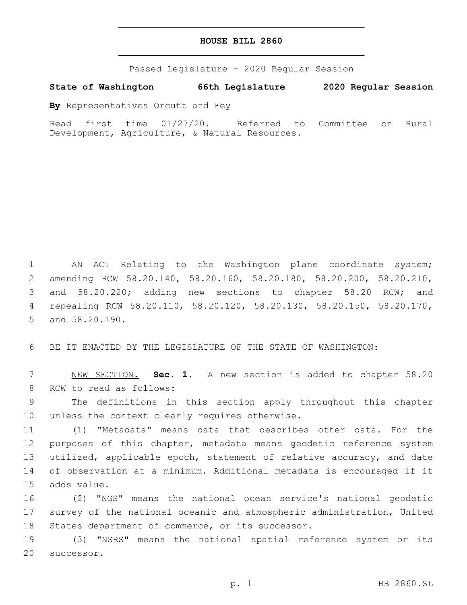## **HOUSE BILL 2860**

Passed Legislature - 2020 Regular Session

**State of Washington 66th Legislature 2020 Regular Session**

**By** Representatives Orcutt and Fey

Read first time 01/27/20. Referred to Committee on Rural Development, Agriculture, & Natural Resources.

 AN ACT Relating to the Washington plane coordinate system; amending RCW 58.20.140, 58.20.160, 58.20.180, 58.20.200, 58.20.210, and 58.20.220; adding new sections to chapter 58.20 RCW; and repealing RCW 58.20.110, 58.20.120, 58.20.130, 58.20.150, 58.20.170, 5 and 58.20.190.

6 BE IT ENACTED BY THE LEGISLATURE OF THE STATE OF WASHINGTON:

7 NEW SECTION. **Sec. 1.** A new section is added to chapter 58.20 8 RCW to read as follows:

9 The definitions in this section apply throughout this chapter 10 unless the context clearly requires otherwise.

11 (1) "Metadata" means data that describes other data. For the 12 purposes of this chapter, metadata means geodetic reference system 13 utilized, applicable epoch, statement of relative accuracy, and date 14 of observation at a minimum. Additional metadata is encouraged if it 15 adds value.

16 (2) "NGS" means the national ocean service's national geodetic 17 survey of the national oceanic and atmospheric administration, United 18 States department of commerce, or its successor.

19 (3) "NSRS" means the national spatial reference system or its 20 successor.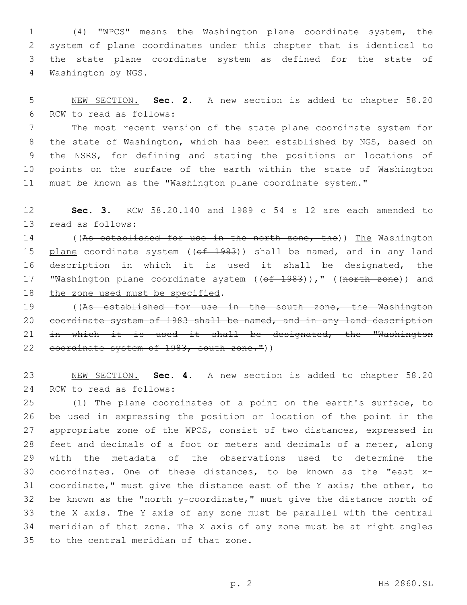(4) "WPCS" means the Washington plane coordinate system, the system of plane coordinates under this chapter that is identical to the state plane coordinate system as defined for the state of 4 Washington by NGS.

 NEW SECTION. **Sec. 2.** A new section is added to chapter 58.20 6 RCW to read as follows:

 The most recent version of the state plane coordinate system for the state of Washington, which has been established by NGS, based on the NSRS, for defining and stating the positions or locations of points on the surface of the earth within the state of Washington must be known as the "Washington plane coordinate system."

 **Sec. 3.** RCW 58.20.140 and 1989 c 54 s 12 are each amended to 13 read as follows:

14 ((As established for use in the north zone, the)) The Washington 15 plane coordinate system ( $(\overline{ef} - 1983)$ ) shall be named, and in any land description in which it is used it shall be designated, the 17 "Washington plane coordinate system ((of 1983))," ((north zone)) and 18 the zone used must be specified.

 ((As established for use in the south zone, the Washington coordinate system of 1983 shall be named, and in any land description 21 in which it is used it shall be designated, the "Washington 22 coordinate system of 1983, south zone."))

 NEW SECTION. **Sec. 4.** A new section is added to chapter 58.20 24 RCW to read as follows:

 (1) The plane coordinates of a point on the earth's surface, to be used in expressing the position or location of the point in the appropriate zone of the WPCS, consist of two distances, expressed in feet and decimals of a foot or meters and decimals of a meter, along with the metadata of the observations used to determine the coordinates. One of these distances, to be known as the "east x- coordinate," must give the distance east of the Y axis; the other, to be known as the "north y-coordinate," must give the distance north of the X axis. The Y axis of any zone must be parallel with the central meridian of that zone. The X axis of any zone must be at right angles 35 to the central meridian of that zone.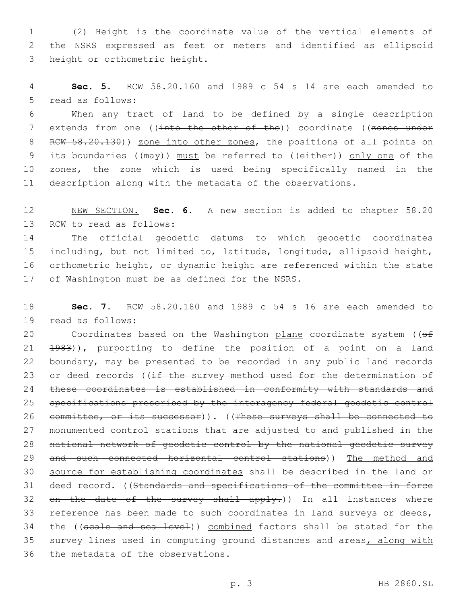1 (2) Height is the coordinate value of the vertical elements of 2 the NSRS expressed as feet or meters and identified as ellipsoid 3 height or orthometric height.

4 **Sec. 5.** RCW 58.20.160 and 1989 c 54 s 14 are each amended to 5 read as follows:

6 When any tract of land to be defined by a single description 7 extends from one ((into the other of the)) coordinate ((zones under 8 RCW 58.20.130)) zone into other zones, the positions of all points on 9 its boundaries ((may)) must be referred to ((either)) only one of the 10 zones, the zone which is used being specifically named in the 11 description along with the metadata of the observations.

12 NEW SECTION. **Sec. 6.** A new section is added to chapter 58.20 13 RCW to read as follows:

 The official geodetic datums to which geodetic coordinates including, but not limited to, latitude, longitude, ellipsoid height, orthometric height, or dynamic height are referenced within the state 17 of Washington must be as defined for the NSRS.

18 **Sec. 7.** RCW 58.20.180 and 1989 c 54 s 16 are each amended to 19 read as follows:

20 Coordinates based on the Washington plane coordinate system ((of 21 1983)), purporting to define the position of a point on a land 22 boundary, may be presented to be recorded in any public land records 23 or deed records ((if the survey method used for the determination of 24 these coordinates is established in conformity with standards and 25 specifications prescribed by the interagency federal geodetic control 26 committee, or its successor)). ((These surveys shall be connected to 27 monumented control stations that are adjusted to and published in the 28 national network of geodetic control by the national geodetic survey 29 and such connected horizontal control stations)) The method and 30 source for establishing coordinates shall be described in the land or 31 deed record. ((Standards and specifications of the committee in force 32 on the date of the survey shall apply.)) In all instances where 33 reference has been made to such coordinates in land surveys or deeds, 34 the ((scale and sea level)) combined factors shall be stated for the 35 survey lines used in computing ground distances and areas, along with 36 the metadata of the observations.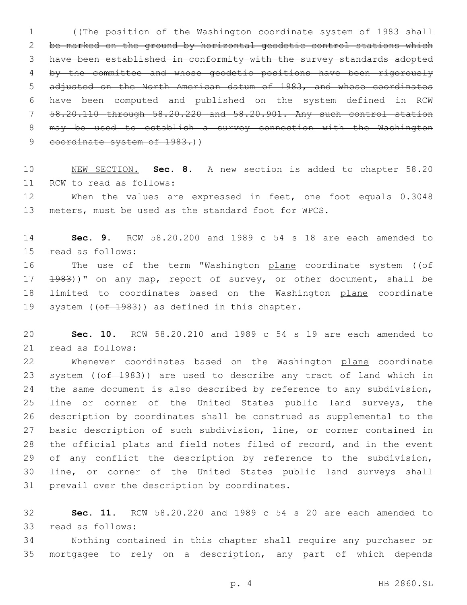((The position of the Washington coordinate system of 1983 shall be marked on the ground by horizontal geodetic control stations which have been established in conformity with the survey standards adopted by the committee and whose geodetic positions have been rigorously adjusted on the North American datum of 1983, and whose coordinates have been computed and published on the system defined in RCW 58.20.110 through 58.20.220 and 58.20.901. Any such control station may be used to establish a survey connection with the Washington 9 coordinate system of 1983.))

10 NEW SECTION. **Sec. 8.** A new section is added to chapter 58.20 11 RCW to read as follows:

12 When the values are expressed in feet, one foot equals 0.3048 13 meters, must be used as the standard foot for WPCS.

14 **Sec. 9.** RCW 58.20.200 and 1989 c 54 s 18 are each amended to 15 read as follows:

16 The use of the term "Washington plane coordinate system ((of 17 1983))" on any map, report of survey, or other document, shall be 18 limited to coordinates based on the Washington plane coordinate 19 system ( $(\overline{ef}$  1983)) as defined in this chapter.

20 **Sec. 10.** RCW 58.20.210 and 1989 c 54 s 19 are each amended to 21 read as follows:

22 Whenever coordinates based on the Washington plane coordinate 23 system ((of 1983)) are used to describe any tract of land which in 24 the same document is also described by reference to any subdivision, 25 line or corner of the United States public land surveys, the 26 description by coordinates shall be construed as supplemental to the 27 basic description of such subdivision, line, or corner contained in 28 the official plats and field notes filed of record, and in the event 29 of any conflict the description by reference to the subdivision, 30 line, or corner of the United States public land surveys shall 31 prevail over the description by coordinates.

32 **Sec. 11.** RCW 58.20.220 and 1989 c 54 s 20 are each amended to 33 read as follows:

34 Nothing contained in this chapter shall require any purchaser or 35 mortgagee to rely on a description, any part of which depends